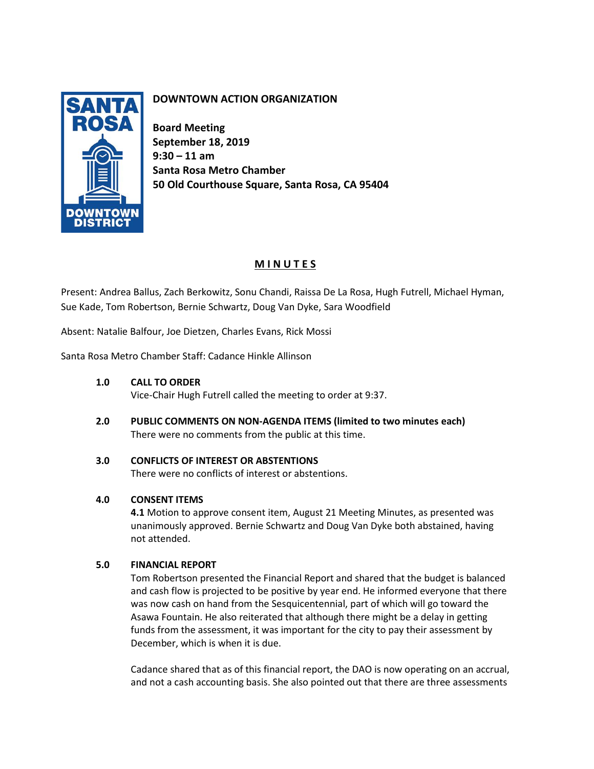

# **DOWNTOWN ACTION ORGANIZATION**

**Board Meeting September 18, 2019 9:30 – 11 am Santa Rosa Metro Chamber 50 Old Courthouse Square, Santa Rosa, CA 95404**

## **M I N U T E S**

Present: Andrea Ballus, Zach Berkowitz, Sonu Chandi, Raissa De La Rosa, Hugh Futrell, Michael Hyman, Sue Kade, Tom Robertson, Bernie Schwartz, Doug Van Dyke, Sara Woodfield

Absent: Natalie Balfour, Joe Dietzen, Charles Evans, Rick Mossi

Santa Rosa Metro Chamber Staff: Cadance Hinkle Allinson

### **1.0 CALL TO ORDER**

Vice-Chair Hugh Futrell called the meeting to order at 9:37.

**2.0 PUBLIC COMMENTS ON NON-AGENDA ITEMS (limited to two minutes each)** There were no comments from the public at this time.

## **3.0 CONFLICTS OF INTEREST OR ABSTENTIONS**

There were no conflicts of interest or abstentions.

## **4.0 CONSENT ITEMS**

**4.1** Motion to approve consent item, August 21 Meeting Minutes, as presented was unanimously approved. Bernie Schwartz and Doug Van Dyke both abstained, having not attended.

### **5.0 FINANCIAL REPORT**

Tom Robertson presented the Financial Report and shared that the budget is balanced and cash flow is projected to be positive by year end. He informed everyone that there was now cash on hand from the Sesquicentennial, part of which will go toward the Asawa Fountain. He also reiterated that although there might be a delay in getting funds from the assessment, it was important for the city to pay their assessment by December, which is when it is due.

Cadance shared that as of this financial report, the DAO is now operating on an accrual, and not a cash accounting basis. She also pointed out that there are three assessments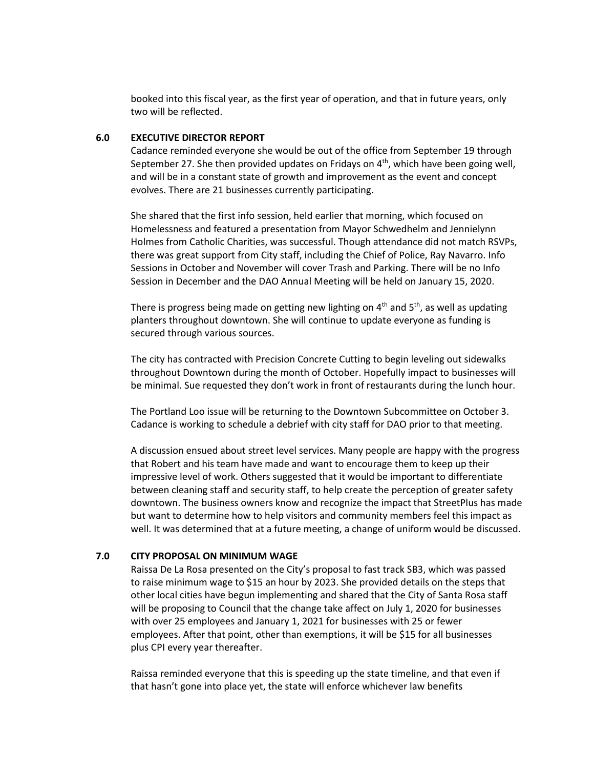booked into this fiscal year, as the first year of operation, and that in future years, only two will be reflected.

#### **6.0 EXECUTIVE DIRECTOR REPORT**

Cadance reminded everyone she would be out of the office from September 19 through September 27. She then provided updates on Fridays on  $4<sup>th</sup>$ , which have been going well, and will be in a constant state of growth and improvement as the event and concept evolves. There are 21 businesses currently participating.

She shared that the first info session, held earlier that morning, which focused on Homelessness and featured a presentation from Mayor Schwedhelm and Jennielynn Holmes from Catholic Charities, was successful. Though attendance did not match RSVPs, there was great support from City staff, including the Chief of Police, Ray Navarro. Info Sessions in October and November will cover Trash and Parking. There will be no Info Session in December and the DAO Annual Meeting will be held on January 15, 2020.

There is progress being made on getting new lighting on  $4<sup>th</sup>$  and  $5<sup>th</sup>$ , as well as updating planters throughout downtown. She will continue to update everyone as funding is secured through various sources.

The city has contracted with Precision Concrete Cutting to begin leveling out sidewalks throughout Downtown during the month of October. Hopefully impact to businesses will be minimal. Sue requested they don't work in front of restaurants during the lunch hour.

The Portland Loo issue will be returning to the Downtown Subcommittee on October 3. Cadance is working to schedule a debrief with city staff for DAO prior to that meeting.

A discussion ensued about street level services. Many people are happy with the progress that Robert and his team have made and want to encourage them to keep up their impressive level of work. Others suggested that it would be important to differentiate between cleaning staff and security staff, to help create the perception of greater safety downtown. The business owners know and recognize the impact that StreetPlus has made but want to determine how to help visitors and community members feel this impact as well. It was determined that at a future meeting, a change of uniform would be discussed.

#### **7.0 CITY PROPOSAL ON MINIMUM WAGE**

Raissa De La Rosa presented on the City's proposal to fast track SB3, which was passed to raise minimum wage to \$15 an hour by 2023. She provided details on the steps that other local cities have begun implementing and shared that the City of Santa Rosa staff will be proposing to Council that the change take affect on July 1, 2020 for businesses with over 25 employees and January 1, 2021 for businesses with 25 or fewer employees. After that point, other than exemptions, it will be \$15 for all businesses plus CPI every year thereafter.

Raissa reminded everyone that this is speeding up the state timeline, and that even if that hasn't gone into place yet, the state will enforce whichever law benefits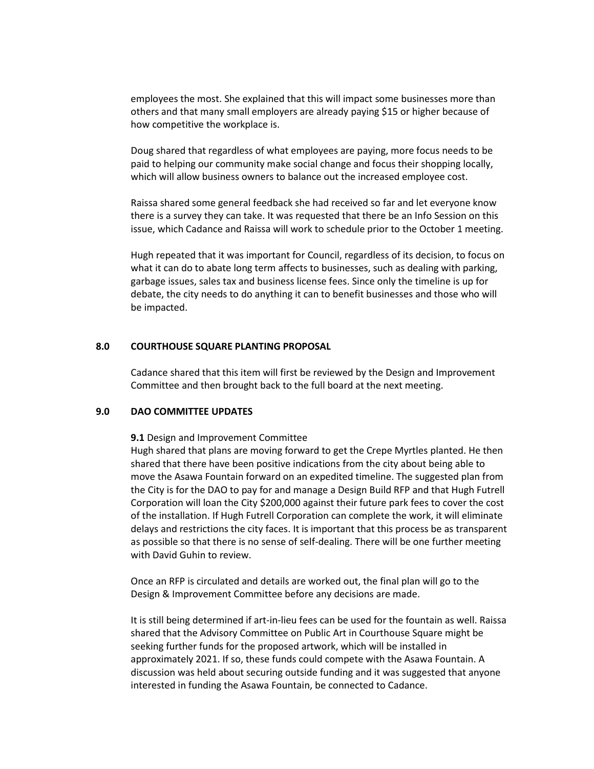employees the most. She explained that this will impact some businesses more than others and that many small employers are already paying \$15 or higher because of how competitive the workplace is.

Doug shared that regardless of what employees are paying, more focus needs to be paid to helping our community make social change and focus their shopping locally, which will allow business owners to balance out the increased employee cost.

Raissa shared some general feedback she had received so far and let everyone know there is a survey they can take. It was requested that there be an Info Session on this issue, which Cadance and Raissa will work to schedule prior to the October 1 meeting.

Hugh repeated that it was important for Council, regardless of its decision, to focus on what it can do to abate long term affects to businesses, such as dealing with parking, garbage issues, sales tax and business license fees. Since only the timeline is up for debate, the city needs to do anything it can to benefit businesses and those who will be impacted.

#### **8.0 COURTHOUSE SQUARE PLANTING PROPOSAL**

Cadance shared that this item will first be reviewed by the Design and Improvement Committee and then brought back to the full board at the next meeting.

#### **9.0 DAO COMMITTEE UPDATES**

**9.1** Design and Improvement Committee

Hugh shared that plans are moving forward to get the Crepe Myrtles planted. He then shared that there have been positive indications from the city about being able to move the Asawa Fountain forward on an expedited timeline. The suggested plan from the City is for the DAO to pay for and manage a Design Build RFP and that Hugh Futrell Corporation will loan the City \$200,000 against their future park fees to cover the cost of the installation. If Hugh Futrell Corporation can complete the work, it will eliminate delays and restrictions the city faces. It is important that this process be as transparent as possible so that there is no sense of self-dealing. There will be one further meeting with David Guhin to review.

Once an RFP is circulated and details are worked out, the final plan will go to the Design & Improvement Committee before any decisions are made.

It is still being determined if art-in-lieu fees can be used for the fountain as well. Raissa shared that the Advisory Committee on Public Art in Courthouse Square might be seeking further funds for the proposed artwork, which will be installed in approximately 2021. If so, these funds could compete with the Asawa Fountain. A discussion was held about securing outside funding and it was suggested that anyone interested in funding the Asawa Fountain, be connected to Cadance.